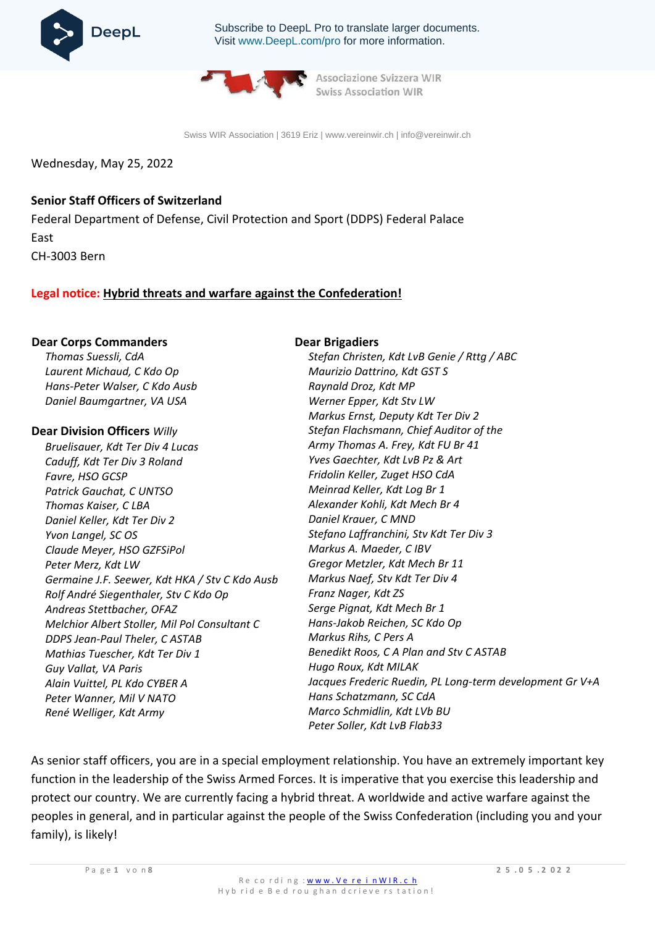

Subscribe to DeepL Pro to translate larger documents. Visit [www.DeepL.com/pro](https://www.deepl.com/pro?cta=edit-document&pdf=1) for more information.



Associazione Svizzera WIR **Swiss Association WIR** 

Swiss WIR Association | 3619 Eriz | [www.vereinwir.ch](http://www.vereinwir.ch/) [| info@vereinwir.ch](mailto:info@vereinwir.ch)

Wednesday, May 25, 2022

# **Senior Staff Officers of Switzerland**

Federal Department of Defense, Civil Protection and Sport (DDPS) Federal Palace East CH-3003 Bern

# **Legal notice: Hybrid threats and warfare against the Confederation!**

#### **Dear Corps Commanders**

*Thomas Suessli, CdA Laurent Michaud, C Kdo Op Hans-Peter Walser, C Kdo Ausb Daniel Baumgartner, VA USA*

### **Dear Division Officers** *Willy*

*Bruelisauer, Kdt Ter Div 4 Lucas Caduff, Kdt Ter Div 3 Roland Favre, HSO GCSP Patrick Gauchat, C UNTSO Thomas Kaiser, C LBA Daniel Keller, Kdt Ter Div 2 Yvon Langel, SC OS Claude Meyer, HSO GZFSiPol Peter Merz, Kdt LW Germaine J.F. Seewer, Kdt HKA / Stv C Kdo Ausb Rolf André Siegenthaler, Stv C Kdo Op Andreas Stettbacher, OFAZ Melchior Albert Stoller, Mil Pol Consultant C DDPS Jean-Paul Theler, C ASTAB Mathias Tuescher, Kdt Ter Div 1 Guy Vallat, VA Paris Alain Vuittel, PL Kdo CYBER A Peter Wanner, Mil V NATO René Welliger, Kdt Army*

#### **Dear Brigadiers**

*Stefan Christen, Kdt LvB Genie / Rttg / ABC Maurizio Dattrino, Kdt GST S Raynald Droz, Kdt MP Werner Epper, Kdt Stv LW Markus Ernst, Deputy Kdt Ter Div 2 Stefan Flachsmann, Chief Auditor of the Army Thomas A. Frey, Kdt FU Br 41 Yves Gaechter, Kdt LvB Pz & Art Fridolin Keller, Zuget HSO CdA Meinrad Keller, Kdt Log Br 1 Alexander Kohli, Kdt Mech Br 4 Daniel Krauer, C MND Stefano Laffranchini, Stv Kdt Ter Div 3 Markus A. Maeder, C IBV Gregor Metzler, Kdt Mech Br 11 Markus Naef, Stv Kdt Ter Div 4 Franz Nager, Kdt ZS Serge Pignat, Kdt Mech Br 1 Hans-Jakob Reichen, SC Kdo Op Markus Rihs, C Pers A Benedikt Roos, C A Plan and Stv C ASTAB Hugo Roux, Kdt MILAK Jacques Frederic Ruedin, PL Long-term development Gr V+A Hans Schatzmann, SC CdA Marco Schmidlin, Kdt LVb BU Peter Soller, Kdt LvB Flab33*

As senior staff officers, you are in a special employment relationship. You have an extremely important key function in the leadership of the Swiss Armed Forces. It is imperative that you exercise this leadership and protect our country. We are currently facing a hybrid threat. A worldwide and active warfare against the peoples in general, and in particular against the people of the Swiss Confederation (including you and your family), is likely!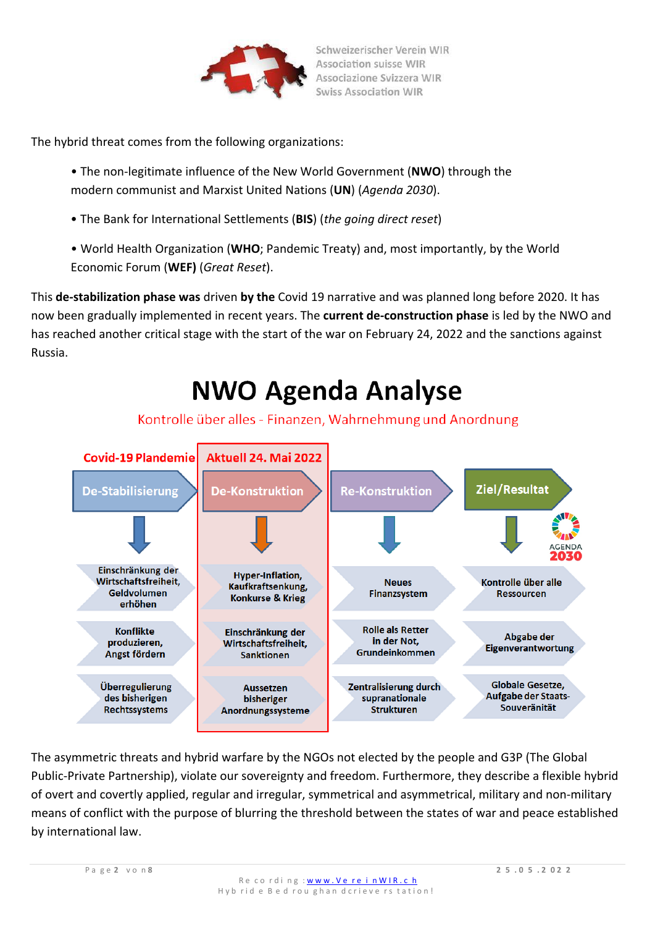

The hybrid threat comes from the following organizations:

- The non-legitimate influence of the New World Government (**NWO**) through the modern communist and Marxist United Nations (**UN**) (*Agenda 2030*).
- The Bank for International Settlements (**BIS**) (*the going direct reset*)
- World Health Organization (**WHO**; Pandemic Treaty) and, most importantly, by the World Economic Forum (**WEF)** (*Great Reset*).

This **de-stabilization phase was** driven **by the** Covid 19 narrative and was planned long before 2020. It has now been gradually implemented in recent years. The **current de-construction phase** is led by the NWO and has reached another critical stage with the start of the war on February 24, 2022 and the sanctions against Russia.

# **NWO Agenda Analyse**

# Kontrolle über alles - Finanzen, Wahrnehmung und Anordnung



The asymmetric threats and hybrid warfare by the NGOs not elected by the people and G3P (The Global Public-Private Partnership), violate our sovereignty and freedom. Furthermore, they describe a flexible hybrid of overt and covertly applied, regular and irregular, symmetrical and asymmetrical, military and non-military means of conflict with the purpose of blurring the threshold between the states of war and peace established by international law.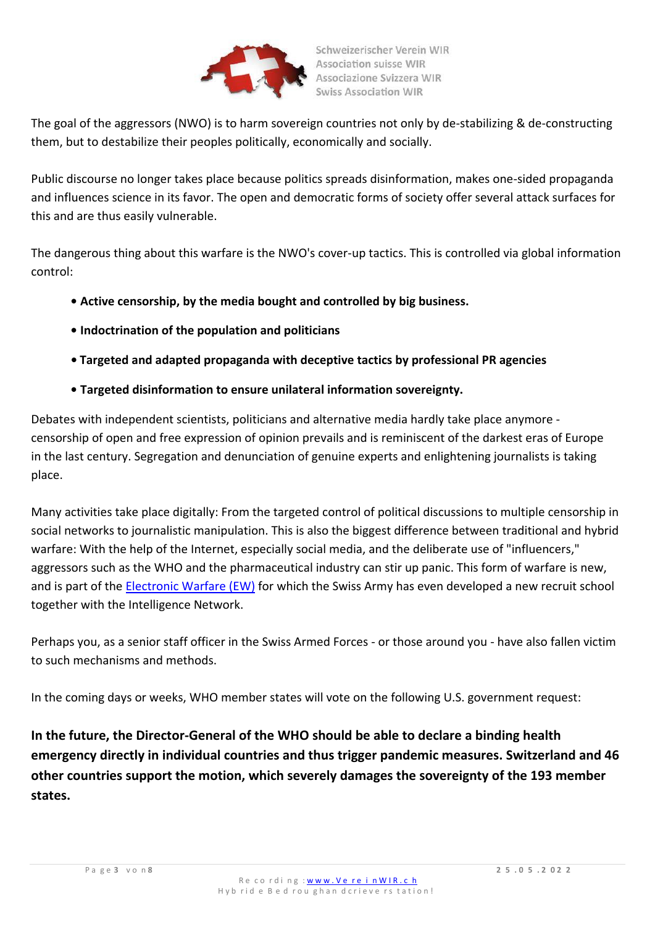

The goal of the aggressors (NWO) is to harm sovereign countries not only by de-stabilizing & de-constructing them, but to destabilize their peoples politically, economically and socially.

Public discourse no longer takes place because politics spreads disinformation, makes one-sided propaganda and influences science in its favor. The open and democratic forms of society offer several attack surfaces for this and are thus easily vulnerable.

The dangerous thing about this warfare is the NWO's cover-up tactics. This is controlled via global information control:

- **• Active censorship, by the media bought and controlled by big business.**
- **• Indoctrination of the population and politicians**
- **• Targeted and adapted propaganda with deceptive tactics by professional PR agencies**
- **• Targeted disinformation to ensure unilateral information sovereignty.**

Debates with independent scientists, politicians and alternative media hardly take place anymore censorship of open and free expression of opinion prevails and is reminiscent of the darkest eras of Europe in the last century. Segregation and denunciation of genuine experts and enlightening journalists is taking place.

Many activities take place digitally: From the targeted control of political discussions to multiple censorship in social networks to journalistic manipulation. This is also the biggest difference between traditional and hybrid warfare: With the help of the Internet, especially social media, and the deliberate use of "influencers," aggressors such as the WHO and the pharmaceutical industry can stir up panic. This form of warfare is new, and is part of the [Electronic Warfare \(EW\)](https://www.vtg.admin.ch/de/organisation/kdo-ausb/lvb-fu/ekf-schule-64.html) for which the Swiss Army has even developed a new recruit school together with the Intelligence Network.

Perhaps you, as a senior staff officer in the Swiss Armed Forces - or those around you - have also fallen victim to such mechanisms and methods.

In the coming days or weeks, WHO member states will vote on the following U.S. government request:

**In the future, the Director-General of the WHO should be able to declare a binding health emergency directly in individual countries and thus trigger pandemic measures. Switzerland and 46 other countries support the motion, which severely damages the sovereignty of the 193 member states.**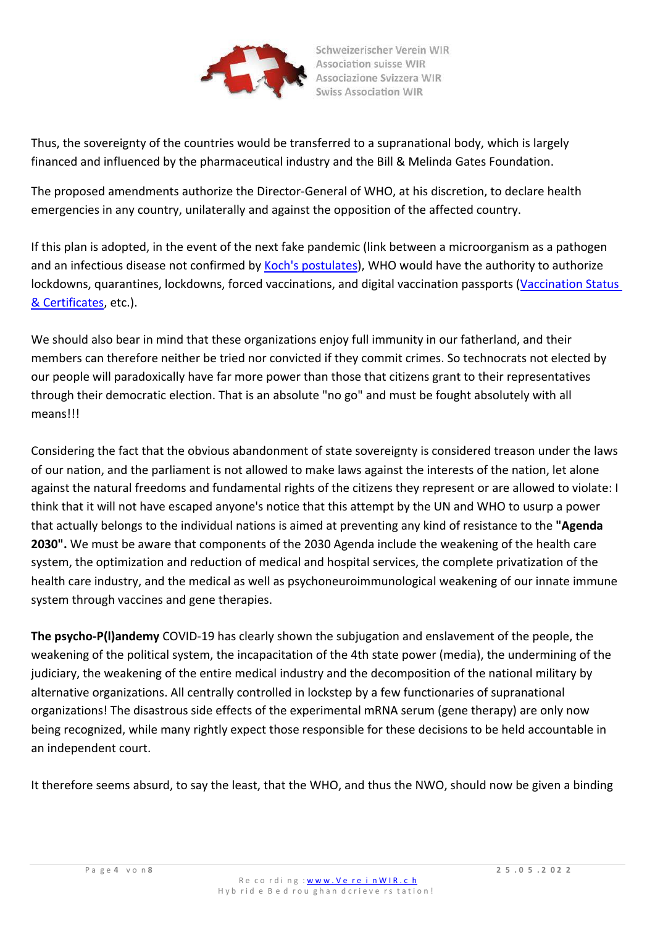

Thus, the sovereignty of the countries would be transferred to a supranational body, which is largely financed and influenced by the pharmaceutical industry and the Bill & Melinda Gates Foundation.

The [proposed amendments](https://apps.who.int/gb/ebwha/pdf_files/WHA75/A75_18-en.pdf) authorize the Director-General of WHO, at his discretion, to declare health emergencies in any country, unilaterally and against the opposition of the affected country.

If this plan is adopted, in the event of the next fake pandemic (link between a microorganism as a pathogen and an infectious disease not confirmed by [Koch's postulates\)](https://www.google.com/url?sa=t&rct=j&q&esrc=s&source=web&cd&ved=2ahUKEwjlhr3B9vr3AhVu8rsIHRy-Dl8QFnoECAsQAQ&url=http%3A%2F%2Fwww.vetvir.uzh.ch%2Fdam%2Fjcr%3A929f5992-4fd9-497d-8329-afa1e650c079%2F40_KochPostulate.pdf&usg=AOvVaw05DGDxEEDsA7w7djean4pZ), WHO would have the authority to authorize lockdowns, quarantines, lockdowns, forced vaccinations, and digital vaccination passports [\(Vaccination Status](https://apps.who.int/iris/handle/10665/343361)  [& Certificates,](https://apps.who.int/iris/handle/10665/343361) etc.).

We should also bear in mind that these organizations enjoy full immunity in our fatherland, and their members can therefore neither be tried nor convicted if they commit crimes. So technocrats not elected by our people will paradoxically have far more power than those that citizens grant to their representatives through their democratic election. That is an absolute "no go" and must be fought absolutely with all means!!!

Considering the fact that the obvious abandonment of state sovereignty is considered treason under the laws of our nation, and the parliament is not allowed to make laws against the interests of the nation, let alone against the natural freedoms and fundamental rights of the citizens they represent or are allowed to violate: I think that it will not have escaped anyone's notice that this attempt by the UN and WHO to usurp a power that actually belongs to the individual nations is aimed at preventing any kind of resistance to the **"Agenda 2030".** We must be aware that components of the 2030 Agenda include the weakening of the health care system, the optimization and reduction of medical and hospital services, the complete privatization of the health care industry, and the medical as well as psychoneuroimmunological weakening of our innate immune system through vaccines and gene therapies.

**The psycho-P(l)andemy** COVID-19 has clearly shown the subjugation and enslavement of the people, the weakening of the political system, the incapacitation of the 4th state power (media), the undermining of the judiciary, the weakening of the entire medical industry and the decomposition of the national military by alternative organizations. All centrally controlled in lockstep by a few functionaries of supranational organizations! The disastrous side effects of the experimental mRNA serum (gene therapy) are only now being recognized, while many rightly expect those responsible for these decisions to be held accountable in an independent court.

It therefore seems absurd, to say the least, that the WHO, and thus the NWO, should now be given a binding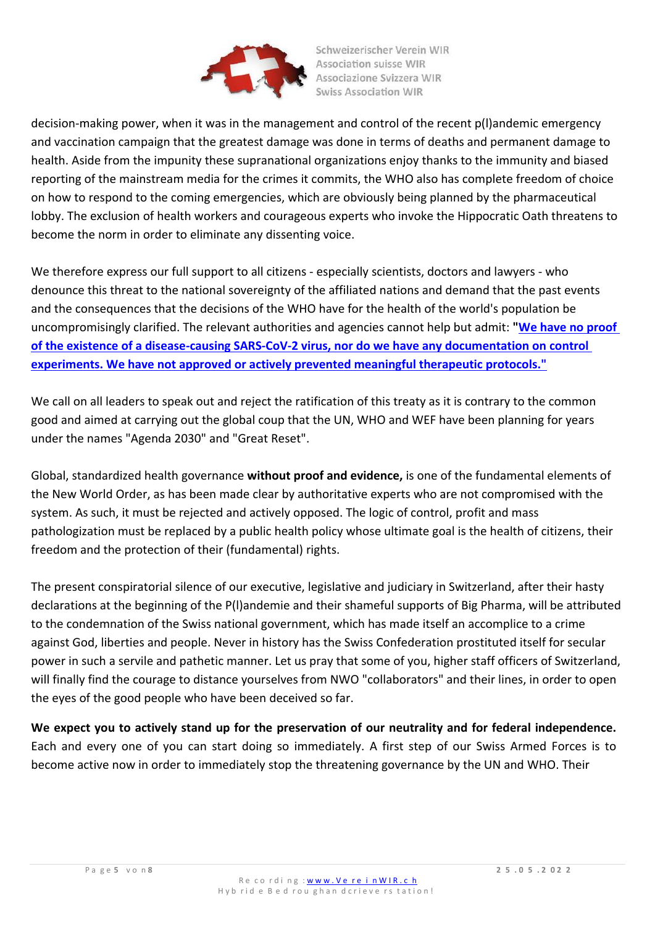

decision-making power, when it was in the management and control of the recent p(l)andemic emergency and vaccination campaign that the greatest damage was done in terms of deaths and permanent damage to health. Aside from the impunity these supranational organizations enjoy thanks to the immunity and biased reporting of the mainstream media for the crimes it commits, the WHO also has complete freedom of choice on how to respond to the coming emergencies, which are obviously being planned by the pharmaceutical lobby. The exclusion of health workers and courageous experts who invoke the Hippocratic Oath threatens to become the norm in order to eliminate any dissenting voice.

We therefore express our full support to all citizens - especially scientists, doctors and lawyers - who denounce this threat to the national sovereignty of the affiliated nations and demand that the past events and the consequences that the decisions of the WHO have for the health of the world's population be uncompromisingly clarified. The relevant authorities and agencies cannot help but admit: **["We have no proof](https://telegra.ph/Schriftlich-best%C3%A4tigt---TEIL-4---Forscher-k%C3%B6nnen-keinen-Nachweis-f%C3%BCr-ein-krankmachendes-Virus-erbringen-04-05)  [of the existence of a disease-causing SARS-CoV-2 virus, nor do we have any documentation on control](https://telegra.ph/Schriftlich-best%C3%A4tigt---TEIL-4---Forscher-k%C3%B6nnen-keinen-Nachweis-f%C3%BCr-ein-krankmachendes-Virus-erbringen-04-05)  [experiments. We have not approved or actively prevented meaningful therapeutic protocols."](https://telegra.ph/Schriftlich-best%C3%A4tigt---TEIL-4---Forscher-k%C3%B6nnen-keinen-Nachweis-f%C3%BCr-ein-krankmachendes-Virus-erbringen-04-05)**

We call on all leaders to speak out and reject the ratification of this treaty as it is contrary to the common good and aimed at carrying out the global coup that the UN, WHO and WEF have been planning for years under the names "Agenda 2030" and "Great Reset".

Global, standardized health governance **without proof and evidence,** is one of the fundamental elements of the New World Order, as has been made clear by authoritative experts who are not compromised with the system. As such, it must be rejected and actively opposed. The logic of control, profit and mass pathologization must be replaced by a public health policy whose ultimate goal is the health of citizens, their freedom and the protection of their (fundamental) rights.

The present conspiratorial silence of our executive, legislative and judiciary in Switzerland, after their hasty declarations at the beginning of the P(l)andemie and their shameful supports of Big Pharma, will be attributed to the condemnation of the Swiss national government, which has made itself an accomplice to a crime against God, liberties and people. Never in history has the Swiss Confederation prostituted itself for secular power in such a servile and pathetic manner. Let us pray that some of you, higher staff officers of Switzerland, will finally find the courage to distance yourselves from NWO "collaborators" and their lines, in order to open the eyes of the good people who have been deceived so far.

**We expect you to actively stand up for the preservation of our neutrality and for federal independence.**  Each and every one of you can start doing so immediately. A first step of our Swiss Armed Forces is to become active now in order to immediately stop the threatening governance by the UN and WHO. Their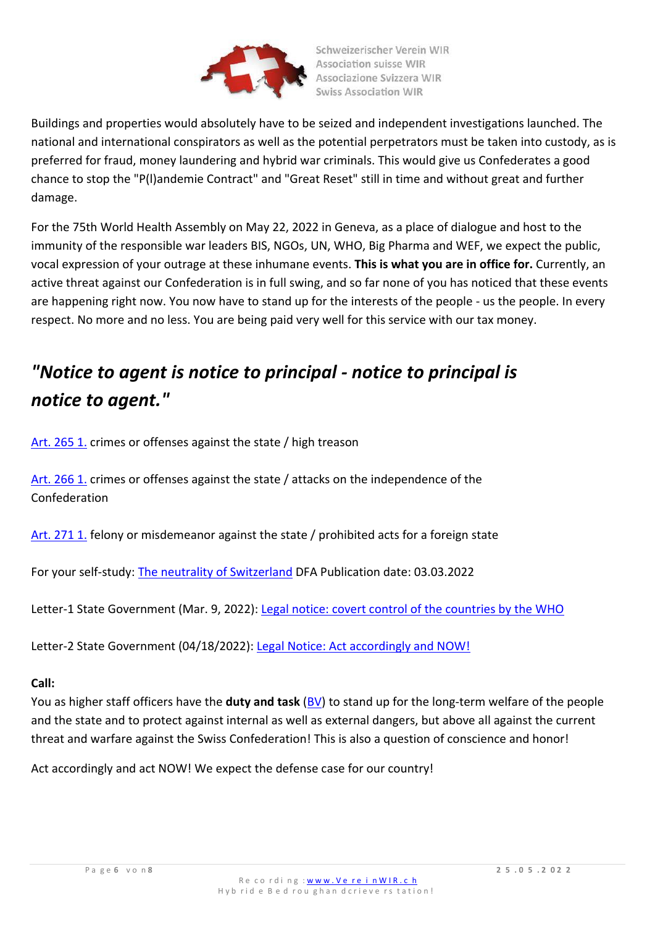

Buildings and properties would absolutely have to be seized and independent investigations launched. The national and international conspirators as well as the potential perpetrators must be taken into custody, as is preferred for fraud, money laundering and hybrid war criminals. This would give us Confederates a good chance to stop the "P(l)andemie Contract" and "Great Reset" still in time and without great and further damage.

For the 75th World Health Assembly on May 22, 2022 in Geneva, as a place of dialogue and host to the immunity of the responsible war leaders BIS, NGOs, UN, WHO, Big Pharma and WEF, we expect the public, vocal expression of your outrage at these inhumane events. **This is what you are in office for.** Currently, an active threat against our Confederation is in full swing, and so far none of you has noticed that these events are happening right now. You now have to stand up for the interests of the people - us the people. In every respect. No more and no less. You are being paid very well for this service with our tax money.

# *"Notice to agent is notice to principal - notice to principal is notice to agent."*

[Art. 265 1.](https://www.swissrights.ch/gesetz/Artikel-265-StGB-2019-DE.php) crimes or offenses against the state / high treason

[Art. 266 1.](https://www.swissrights.ch/gesetz/Artikel-266-StGB-2020-DE.php) crimes or offenses against the state / attacks on the independence of the Confederation

[Art. 271 1.](https://www.swissrights.ch/gesetz/Artikel-271-StGB-2019-DE.php) felony or misdemeanor against the state / prohibited acts for a foreign state

For your self-study: [The neutrality of Switzerland](https://www.eda.admin.ch/content/dam/eda/de/documents/publications/SchweizerischeAussenpolitik/neutralitaet-schweiz_DE.pdf) DFA Publication date: 03.03.2022

Letter-1 State Government (Mar. 9, 2022): [Legal notice: covert control of the countries by the WHO](https://www.vereinwir.ch/rechtlicher-hinweis-and-die-schweizer-landesregierung-verdeckte-steuerung-der-laender-durch-die-who/)

Letter-2 State Government (04/18/2022): [Legal Notice: Act accordingly and NOW!](https://www.vereinwir.ch/rechtliche-hinweise-an-die-schweizer-landesregierung-handeln-sie-entsprechend-und-jetzt/)

## **Call:**

You as higher staff officers have the **duty and task** [\(BV\)](https://fedlex.data.admin.ch/filestore/fedlex.data.admin.ch/eli/cc/1/1_1_1/19990207/de/pdf-a/fedlex-data-admin-ch-eli-cc-1-1_1_1-19990207-de-pdf-a.pdf) to stand up for the long-term welfare of the people and the state and to protect against internal as well as external dangers, but above all against the current threat and warfare against the Swiss Confederation! This is also a question of conscience and honor!

Act accordingly and act NOW! We expect the defense case for our country!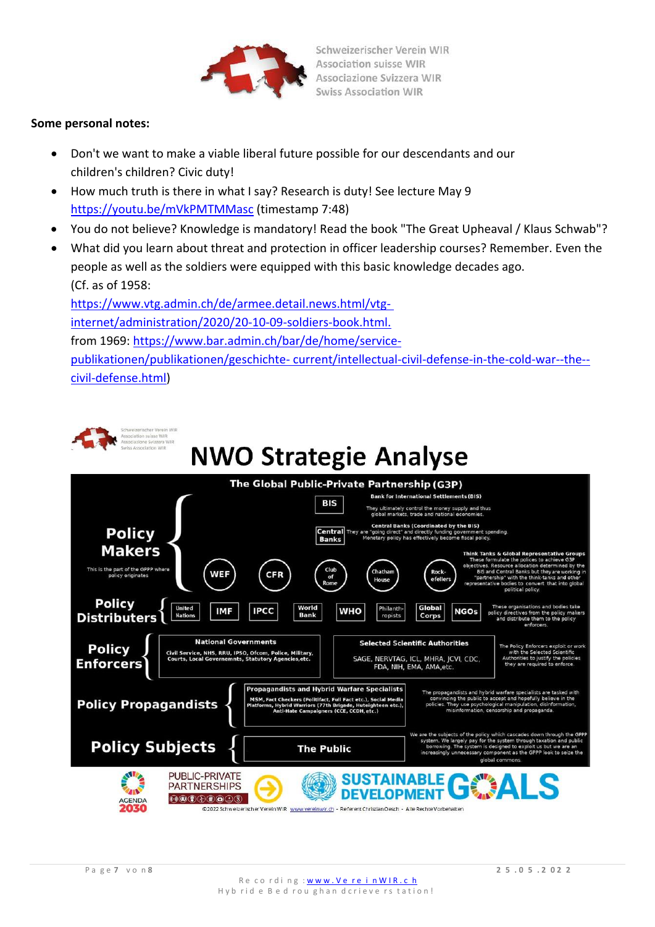

## **Some personal notes:**

- Don't we want to make a viable liberal future possible for our descendants and our children's children? Civic duty!
- How much truth is there in what I say? Research is duty! See lecture May 9 <https://youtu.be/mVkPMTMMasc> (timestamp 7:48)
- You do not believe? Knowledge is mandatory! Read the book "The Great Upheaval / Klaus Schwab"?
- What did you learn about threat and protection in officer leadership courses? Remember. Even the people as well as the soldiers were equipped with this basic knowledge decades ago. (Cf. as of 1958:

[https://www.vtg.admin.ch/de/armee.detail.news.html/vtg](https://www.vtg.admin.ch/de/armee.detail.news.html/vtg-internet/verwaltung/2020/20-10/20-10-09-soldatenbuch.html)[internet/administration/2020/20-10-09-soldiers-book.html.](https://www.vtg.admin.ch/de/armee.detail.news.html/vtg-internet/verwaltung/2020/20-10/20-10-09-soldatenbuch.html) from 1969: [https://www.bar.admin.ch/bar/de/home/service](https://www.bar.admin.ch/bar/de/home/service-publikationen/publikationen/geschichte-aktuell/geistige-landesverteidigung-im-kalten-krieg--das--zivilverteidig.html)[publikationen/publikationen/geschichte-](https://www.bar.admin.ch/bar/de/home/service-publikationen/publikationen/geschichte-aktuell/geistige-landesverteidigung-im-kalten-krieg--das--zivilverteidig.html) [current/intellectual-civil-defense-in-the-cold-war--the-](https://www.bar.admin.ch/bar/de/home/service-publikationen/publikationen/geschichte-aktuell/geistige-landesverteidigung-im-kalten-krieg--das--zivilverteidig.html) [civil-defense.html\)](https://www.bar.admin.ch/bar/de/home/service-publikationen/publikationen/geschichte-aktuell/geistige-landesverteidigung-im-kalten-krieg--das--zivilverteidig.html)



# **NWO Strategie Analyse**